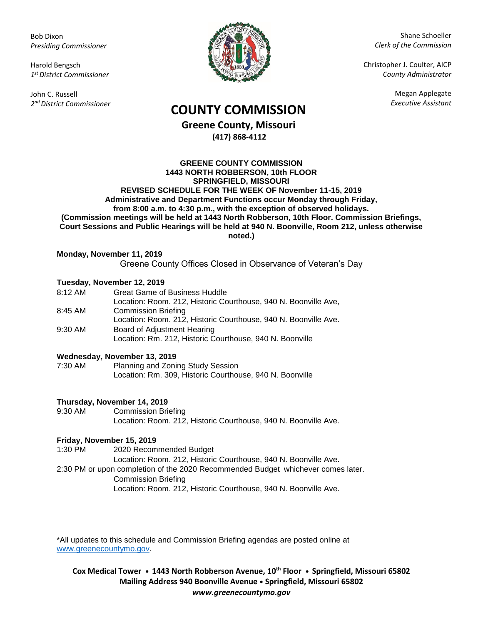Bob Dixon *Presiding Commissioner*

Harold Bengsch *1 st District Commissioner*

John C. Russell *2 nd District Commissioner*



Shane Schoeller *Clerk of the Commission*

Christopher J. Coulter, AICP *County Administrator*

Megan Applegate

# *Executive Assistant* **COUNTY COMMISSION**

**Greene County, Missouri (417) 868-4112**

**GREENE COUNTY COMMISSION 1443 NORTH ROBBERSON, 10th FLOOR SPRINGFIELD, MISSOURI REVISED SCHEDULE FOR THE WEEK OF November 11-15, 2019 Administrative and Department Functions occur Monday through Friday, from 8:00 a.m. to 4:30 p.m., with the exception of observed holidays. (Commission meetings will be held at 1443 North Robberson, 10th Floor. Commission Briefings, Court Sessions and Public Hearings will be held at 940 N. Boonville, Room 212, unless otherwise noted.)**

### **Monday, November 11, 2019**

Greene County Offices Closed in Observance of Veteran's Day

## **Tuesday, November 12, 2019**

| $8:12 \, \text{AM}$ | <b>Great Game of Business Huddle</b>                            |
|---------------------|-----------------------------------------------------------------|
|                     | Location: Room. 212, Historic Courthouse, 940 N. Boonville Ave, |
| 8:45 AM             | <b>Commission Briefing</b>                                      |
|                     | Location: Room. 212, Historic Courthouse, 940 N. Boonville Ave. |
| $9:30$ AM           | Board of Adjustment Hearing                                     |
|                     | Location: Rm. 212, Historic Courthouse, 940 N. Boonville        |

### **Wednesday, November 13, 2019**

7:30 AM Planning and Zoning Study Session Location: Rm. 309, Historic Courthouse, 940 N. Boonville

### **Thursday, November 14, 2019**

9:30 AM Commission Briefing Location: Room. 212, Historic Courthouse, 940 N. Boonville Ave.

### **Friday, November 15, 2019**

1:30 PM 2020 Recommended Budget

Location: Room. 212, Historic Courthouse, 940 N. Boonville Ave.

2:30 PM or upon completion of the 2020 Recommended Budget whichever comes later. Commission Briefing Location: Room. 212, Historic Courthouse, 940 N. Boonville Ave.

\*All updates to this schedule and Commission Briefing agendas are posted online at [www.greenecountymo.gov.](http://www.greenecountymo.gov/)

**Cox Medical Tower • 1443 North Robberson Avenue, 10th Floor • Springfield, Missouri 65802 Mailing Address 940 Boonville Avenue • Springfield, Missouri 65802** *www.greenecountymo.gov*